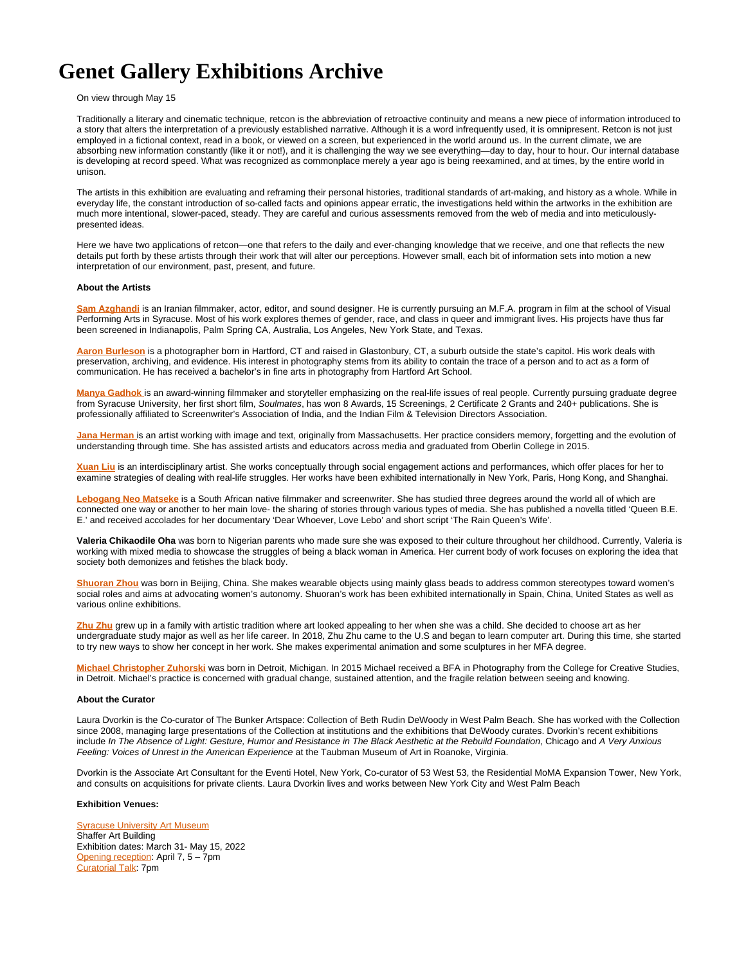# **Genet Gallery Exhibitions Archive**

# On view through May 15

Traditionally a literary and cinematic technique, retcon is the abbreviation of retroactive continuity and means a new piece of information introduced to a story that alters the interpretation of a previously established narrative. Although it is a word infrequently used, it is omnipresent. Retcon is not just employed in a fictional context, read in a book, or viewed on a screen, but experienced in the world around us. In the current climate, we are absorbing new information constantly (like it or not!), and it is challenging the way we see everything—day to day, hour to hour. Our internal database is developing at record speed. What was recognized as commonplace merely a year ago is being reexamined, and at times, by the entire world in unison.

The artists in this exhibition are evaluating and reframing their personal histories, traditional standards of art-making, and history as a whole. While in everyday life, the constant introduction of so-called facts and opinions appear erratic, the investigations held within the artworks in the exhibition are much more intentional, slower-paced, steady. They are careful and curious assessments removed from the web of media and into meticulouslypresented ideas.

Here we have two applications of retcon—one that refers to the daily and ever-changing knowledge that we receive, and one that reflects the new details put forth by these artists through their work that will alter our perceptions. However small, each bit of information sets into motion a new interpretation of our environment, past, present, and future.

#### **About the Artists**

**[Sam Azghandi](https://samazghandi.com/)** is an Iranian filmmaker, actor, editor, and sound designer. He is currently pursuing an M.F.A. program in film at the school of Visual Performing Arts in Syracuse. Most of his work explores themes of gender, race, and class in queer and immigrant lives. His projects have thus far been screened in Indianapolis, Palm Spring CA, Australia, Los Angeles, New York State, and Texas.

**[Aaron Burleson](https://aaronhunterburleson.com/)** is a photographer born in Hartford, CT and raised in Glastonbury, CT, a suburb outside the state's capitol. His work deals with preservation, archiving, and evidence. His interest in photography stems from its ability to contain the trace of a person and to act as a form of communication. He has received a bachelor's in fine arts in photography from Hartford Art School.

**[Manya Gadhok](https://www.instagram.com/manyagadhok/)** is an award-winning filmmaker and storyteller emphasizing on the real-life issues of real people. Currently pursuing graduate degree from Syracuse University, her first short film, Soulmates, has won 8 Awards, 15 Screenings, 2 Certificate 2 Grants and 240+ publications. She is professionally affiliated to Screenwriter's Association of India, and the Indian Film & Television Directors Association.

**[Jana Herman](http://www.janaherman.com/)** is an artist working with image and text, originally from Massachusetts. Her practice considers memory, forgetting and the evolution of understanding through time. She has assisted artists and educators across media and graduated from Oberlin College in 2015.

**[Xuan Liu](https://www.artistxuanliu.com/bio)** is an interdisciplinary artist. She works conceptually through social engagement actions and performances, which offer places for her to examine strategies of dealing with real-life struggles. Her works have been exhibited internationally in New York, Paris, Hong Kong, and Shanghai.

[Lebogang Neo Matseke](https://www.instagram.com/lebomatseke/) is a South African native filmmaker and screenwriter. She has studied three degrees around the world all of which are connected one way or another to her main love- the sharing of stories through various types of media. She has published a novella titled 'Queen B.E. E.' and received accolades for her documentary 'Dear Whoever, Love Lebo' and short script 'The Rain Queen's Wife'.

**Valeria Chikaodile Oha** was born to Nigerian parents who made sure she was exposed to their culture throughout her childhood. Currently, Valeria is working with mixed media to showcase the struggles of being a black woman in America. Her current body of work focuses on exploring the idea that society both demonizes and fetishes the black body.

**[Shuoran Zhou](https://www.instagram.com/shuoranzhou/)** was born in Beijing, China. She makes wearable objects using mainly glass beads to address common stereotypes toward women's social roles and aims at advocating women's autonomy. Shuoran's work has been exhibited internationally in Spain, China, United States as well as various online exhibitions.

**[Zhu Zhu](https://zhuzhu19962017.wixsite.com/website)** grew up in a family with artistic tradition where art looked appealing to her when she was a child. She decided to choose art as her undergraduate study major as well as her life career. In 2018, Zhu Zhu came to the U.S and began to learn computer art. During this time, she started to try new ways to show her concept in her work. She makes experimental animation and some sculptures in her MFA degree.

**[Michael Christopher Zuhorski](http://michaelzuhorski.com/)** was born in Detroit, Michigan. In 2015 Michael received a BFA in Photography from the College for Creative Studies, in Detroit. Michael's practice is concerned with gradual change, sustained attention, and the fragile relation between seeing and knowing.

#### **About the Curator**

Laura Dvorkin is the Co-curator of The Bunker Artspace: Collection of Beth Rudin DeWoody in West Palm Beach. She has worked with the Collection since 2008, managing large presentations of the Collection at institutions and the exhibitions that DeWoody curates. Dvorkin's recent exhibitions include In The Absence of Light: Gesture, Humor and Resistance in The Black Aesthetic at the Rebuild Foundation, Chicago and A Very Anxious Feeling: Voices of Unrest in the American Experience at the Taubman Museum of Art in Roanoke, Virginia.

Dvorkin is the Associate Art Consultant for the Eventi Hotel, New York, Co-curator of 53 West 53, the Residential MoMA Expansion Tower, New York, and consults on acquisitions for private clients. Laura Dvorkin lives and works between New York City and West Palm Beach

## **Exhibition Venues:**

**[Syracuse University Art Museum](http://museum.syr.edu/)** Shaffer Art Building Exhibition dates: March 31- May 15, 2022 [Opening reception](https://museum.syr.edu/event/steady-retcon-exhibition-reception/): April 7, 5 – 7pm [Curatorial Talk:](https://museum.syr.edu/event/visiting-artist-lecture-laura-dvorkin-06/) 7pm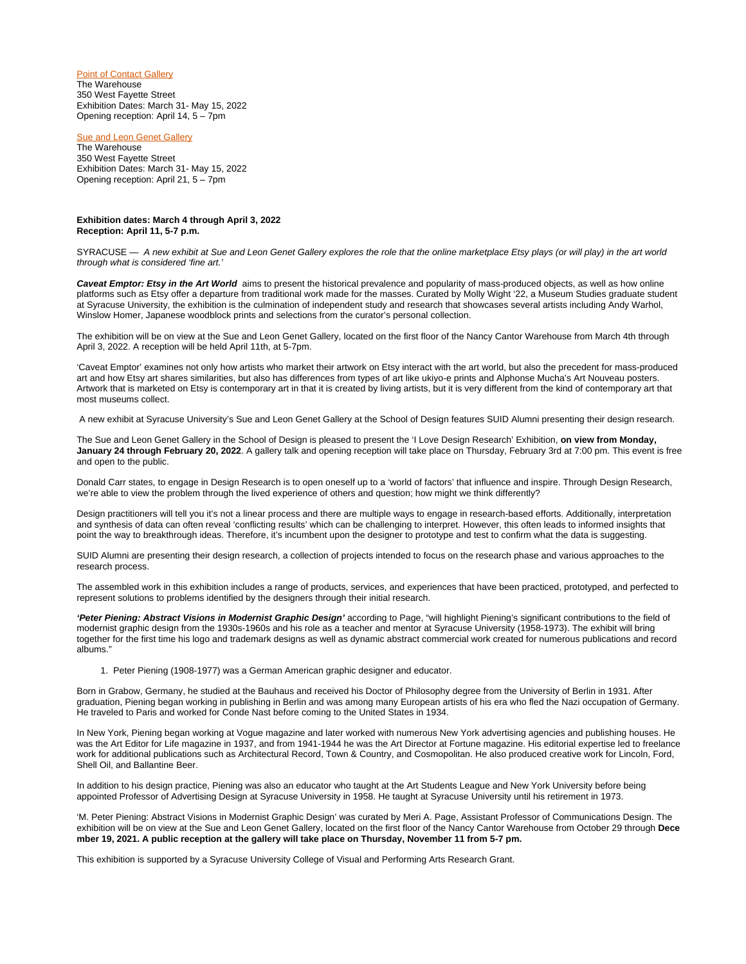[Point of Contact Gallery](https://puntopoint.org/) The Warehouse 350 West Fayette Street Exhibition Dates: March 31- May 15, 2022 Opening reception: April 14, 5 – 7pm

**[Sue and Leon Genet Gallery](https://vpa.syr.edu/academics/design/genet-gallery/)** The Warehouse 350 West Fayette Street Exhibition Dates: March 31- May 15, 2022 Opening reception: April 21, 5 – 7pm

## **Exhibition dates: March 4 through April 3, 2022 Reception: April 11, 5-7 p.m.**

SYRACUSE — A new exhibit at Sue and Leon Genet Gallery explores the role that the online marketplace Etsy plays (or will play) in the art world through what is considered 'fine art.'

Caveat Emptor: Etsy in the Art World aims to present the historical prevalence and popularity of mass-produced objects, as well as how online platforms such as Etsy offer a departure from traditional work made for the masses. Curated by Molly Wight '22, a Museum Studies graduate student at Syracuse University, the exhibition is the culmination of independent study and research that showcases several artists including Andy Warhol, Winslow Homer, Japanese woodblock prints and selections from the curator's personal collection.

The exhibition will be on view at the Sue and Leon Genet Gallery, located on the first floor of the Nancy Cantor Warehouse from March 4th through April 3, 2022. A reception will be held April 11th, at 5-7pm.

'Caveat Emptor' examines not only how artists who market their artwork on Etsy interact with the art world, but also the precedent for mass-produced art and how Etsy art shares similarities, but also has differences from types of art like ukiyo-e prints and Alphonse Mucha's Art Nouveau posters. Artwork that is marketed on Etsy is contemporary art in that it is created by living artists, but it is very different from the kind of contemporary art that most museums collect.

A new exhibit at Syracuse University's Sue and Leon Genet Gallery at the School of Design features SUID Alumni presenting their design research.

The Sue and Leon Genet Gallery in the School of Design is pleased to present the 'I Love Design Research' Exhibition, **on view from Monday, January 24 through February 20, 2022**. A gallery talk and opening reception will take place on Thursday, February 3rd at 7:00 pm. This event is free and open to the public.

Donald Carr states, to engage in Design Research is to open oneself up to a 'world of factors' that influence and inspire. Through Design Research, we're able to view the problem through the lived experience of others and question; how might we think differently?

Design practitioners will tell you it's not a linear process and there are multiple ways to engage in research-based efforts. Additionally, interpretation and synthesis of data can often reveal 'conflicting results' which can be challenging to interpret. However, this often leads to informed insights that point the way to breakthrough ideas. Therefore, it's incumbent upon the designer to prototype and test to confirm what the data is suggesting.

SUID Alumni are presenting their design research, a collection of projects intended to focus on the research phase and various approaches to the research process.

The assembled work in this exhibition includes a range of products, services, and experiences that have been practiced, prototyped, and perfected to represent solutions to problems identified by the designers through their initial research.

**'Peter Piening: Abstract Visions in Modernist Graphic Design'** according to Page, "will highlight Piening's significant contributions to the field of modernist graphic design from the 1930s-1960s and his role as a teacher and mentor at Syracuse University (1958-1973). The exhibit will bring together for the first time his logo and trademark designs as well as dynamic abstract commercial work created for numerous publications and record albums."

1. Peter Piening (1908-1977) was a German American graphic designer and educator.

Born in Grabow, Germany, he studied at the Bauhaus and received his Doctor of Philosophy degree from the University of Berlin in 1931. After graduation, Piening began working in publishing in Berlin and was among many European artists of his era who fled the Nazi occupation of Germany. He traveled to Paris and worked for Conde Nast before coming to the United States in 1934.

In New York, Piening began working at Vogue magazine and later worked with numerous New York advertising agencies and publishing houses. He was the Art Editor for Life magazine in 1937, and from 1941-1944 he was the Art Director at Fortune magazine. His editorial expertise led to freelance work for additional publications such as Architectural Record, Town & Country, and Cosmopolitan. He also produced creative work for Lincoln, Ford, Shell Oil, and Ballantine Beer.

In addition to his design practice, Piening was also an educator who taught at the Art Students League and New York University before being appointed Professor of Advertising Design at Syracuse University in 1958. He taught at Syracuse University until his retirement in 1973.

'M. Peter Piening: Abstract Visions in Modernist Graphic Design' was curated by Meri A. Page, Assistant Professor of Communications Design. The exhibition will be on view at the Sue and Leon Genet Gallery, located on the first floor of the Nancy Cantor Warehouse from October 29 through **Dece mber 19, 2021. A public reception at the gallery will take place on Thursday, November 11 from 5-7 pm.**

This exhibition is supported by a Syracuse University College of Visual and Performing Arts Research Grant.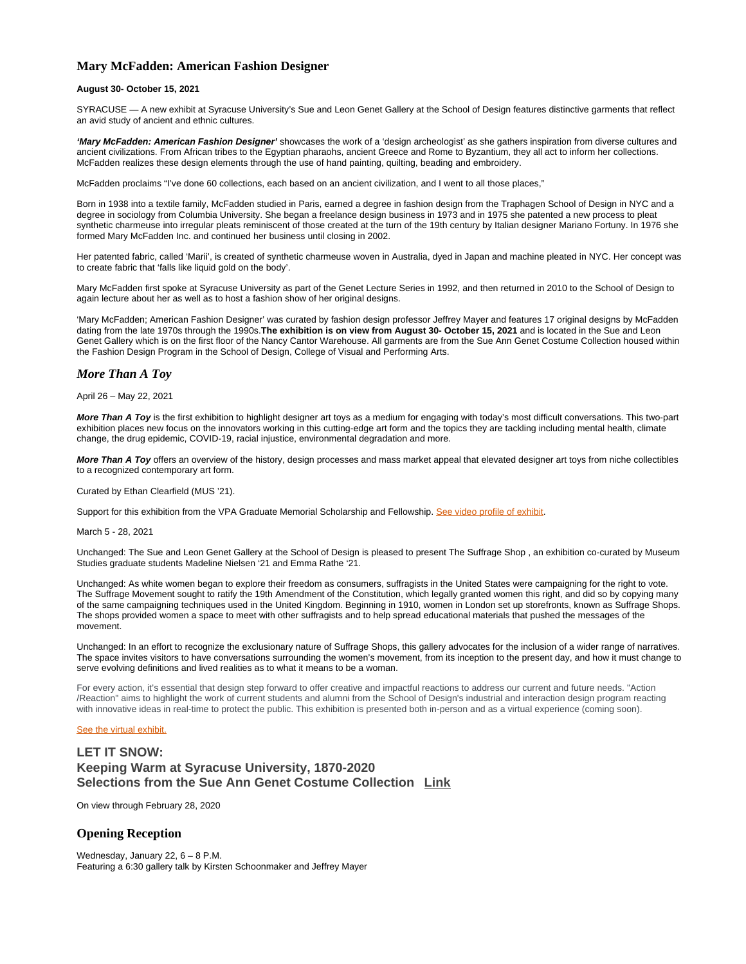# **Mary McFadden: American Fashion Designer**

# **August 30- October 15, 2021**

SYRACUSE — A new exhibit at Syracuse University's Sue and Leon Genet Gallery at the School of Design features distinctive garments that reflect an avid study of ancient and ethnic cultures.

**'Mary McFadden: American Fashion Designer'** showcases the work of a 'design archeologist' as she gathers inspiration from diverse cultures and ancient civilizations. From African tribes to the Egyptian pharaohs, ancient Greece and Rome to Byzantium, they all act to inform her collections. McFadden realizes these design elements through the use of hand painting, quilting, beading and embroidery.

McFadden proclaims "I've done 60 collections, each based on an ancient civilization, and I went to all those places,"

Born in 1938 into a textile family, McFadden studied in Paris, earned a degree in fashion design from the Traphagen School of Design in NYC and a degree in sociology from Columbia University. She began a freelance design business in 1973 and in 1975 she patented a new process to pleat synthetic charmeuse into irregular pleats reminiscent of those created at the turn of the 19th century by Italian designer Mariano Fortuny. In 1976 she formed Mary McFadden Inc. and continued her business until closing in 2002.

Her patented fabric, called 'Marii', is created of synthetic charmeuse woven in Australia, dyed in Japan and machine pleated in NYC. Her concept was to create fabric that 'falls like liquid gold on the body'.

Mary McFadden first spoke at Syracuse University as part of the Genet Lecture Series in 1992, and then returned in 2010 to the School of Design to again lecture about her as well as to host a fashion show of her original designs.

'Mary McFadden; American Fashion Designer' was curated by fashion design professor Jeffrey Mayer and features 17 original designs by McFadden dating from the late 1970s through the 1990s.**The exhibition is on view from August 30- October 15, 2021** and is located in the Sue and Leon Genet Gallery which is on the first floor of the Nancy Cantor Warehouse. All garments are from the Sue Ann Genet Costume Collection housed within the Fashion Design Program in the School of Design, College of Visual and Performing Arts.

# *More Than A Toy*

April 26 – May 22, 2021

**More Than A Toy** is the first exhibition to highlight designer art toys as a medium for engaging with today's most difficult conversations. This two-part exhibition places new focus on the innovators working in this cutting-edge art form and the topics they are tackling including mental health, climate change, the drug epidemic, COVID-19, racial injustice, environmental degradation and more.

**More Than A Toy** offers an overview of the history, design processes and mass market appeal that elevated designer art toys from niche collectibles to a recognized contemporary art form.

#### Curated by Ethan Clearfield (MUS '21).

Support for this exhibition from the VPA Graduate Memorial Scholarship and Fellowship. [See video profile of exhibit](https://www.youtube.com/watch?v=l3Cn5Nv_1Xw).

March 5 - 28, 2021

Unchanged: The Sue and Leon Genet Gallery at the School of Design is pleased to present The Suffrage Shop , an exhibition co-curated by Museum Studies graduate students Madeline Nielsen '21 and Emma Rathe '21.

Unchanged: As white women began to explore their freedom as consumers, suffragists in the United States were campaigning for the right to vote. The Suffrage Movement sought to ratify the 19th Amendment of the Constitution, which legally granted women this right, and did so by copying many of the same campaigning techniques used in the United Kingdom. Beginning in 1910, women in London set up storefronts, known as Suffrage Shops. The shops provided women a space to meet with other suffragists and to help spread educational materials that pushed the messages of the movement.

Unchanged: In an effort to recognize the exclusionary nature of Suffrage Shops, this gallery advocates for the inclusion of a wider range of narratives. The space invites visitors to have conversations surrounding the women's movement, from its inception to the present day, and how it must change to serve evolving definitions and lived realities as to what it means to be a woman.

For every action, it's essential that design step forward to offer creative and impactful reactions to address our current and future needs. "Action /Reaction" aims to highlight the work of current students and alumni from the School of Design's industrial and interaction design program reacting with innovative ideas in real-time to protect the public. This exhibition is presented both in-person and as a virtual experience (coming soon).

# [See the virtual exhibit.](https://app.lapentor.com/sphere/genet-gallery-action-reaction)

# **LET IT SNOW: Keeping Warm at Syracuse University, 1870-2020 Selections from the Sue Ann Genet Costume Collection [Link](https://vpa.syr.edu/academics/design/genet-gallery/#s:let-it-snow-keeping-warm-at)**

On view through February 28, 2020

# **Opening Reception**

Wednesday, January 22, 6 – 8 P.M. Featuring a 6:30 gallery talk by Kirsten Schoonmaker and Jeffrey Mayer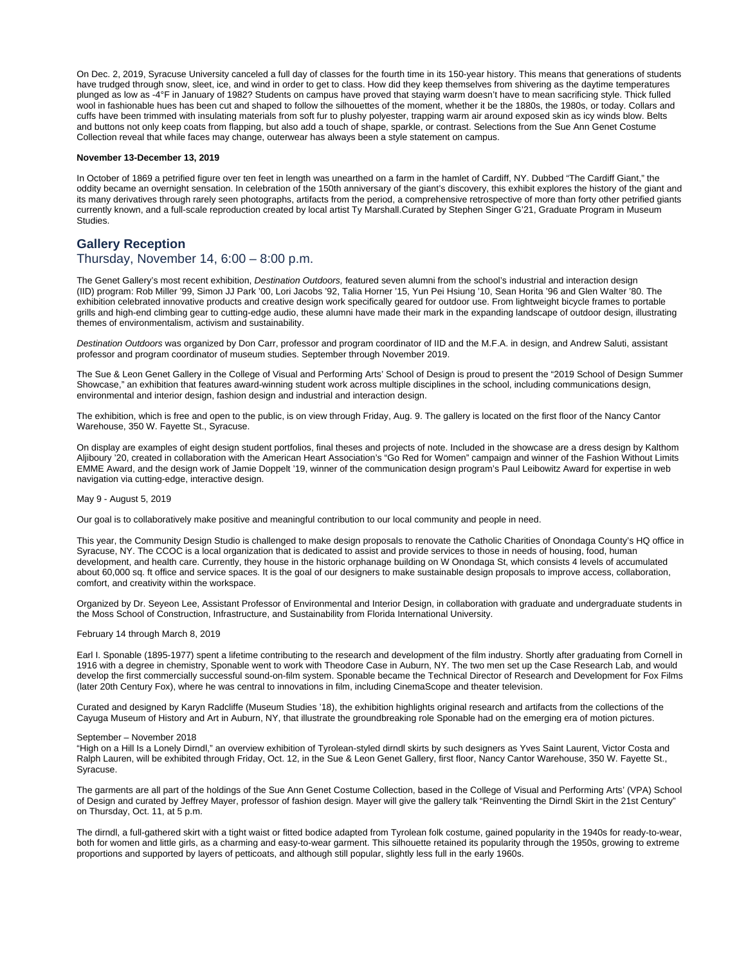On Dec. 2, 2019, Syracuse University canceled a full day of classes for the fourth time in its 150-year history. This means that generations of students have trudged through snow, sleet, ice, and wind in order to get to class. How did they keep themselves from shivering as the daytime temperatures plunged as low as -4°F in January of 1982? Students on campus have proved that staying warm doesn't have to mean sacrificing style. Thick fulled wool in fashionable hues has been cut and shaped to follow the silhouettes of the moment, whether it be the 1880s, the 1980s, or today. Collars and cuffs have been trimmed with insulating materials from soft fur to plushy polyester, trapping warm air around exposed skin as icy winds blow. Belts and buttons not only keep coats from flapping, but also add a touch of shape, sparkle, or contrast. Selections from the Sue Ann Genet Costume Collection reveal that while faces may change, outerwear has always been a style statement on campus.

#### **November 13-December 13, 2019**

In October of 1869 a petrified figure over ten feet in length was unearthed on a farm in the hamlet of Cardiff, NY. Dubbed "The Cardiff Giant," the oddity became an overnight sensation. In celebration of the 150th anniversary of the giant's discovery, this exhibit explores the history of the giant and its many derivatives through rarely seen photographs, artifacts from the period, a comprehensive retrospective of more than forty other petrified giants currently known, and a full-scale reproduction created by local artist Ty Marshall.Curated by Stephen Singer G'21, Graduate Program in Museum Studies.

# **Gallery Reception**

# Thursday, November 14, 6:00 – 8:00 p.m.

The Genet Gallery's most recent exhibition, Destination Outdoors, featured seven alumni from the school's industrial and interaction design (IID) program: Rob Miller '99, Simon JJ Park '00, Lori Jacobs '92, Talia Horner '15, Yun Pei Hsiung '10, Sean Horita '96 and Glen Walter '80. The exhibition celebrated innovative products and creative design work specifically geared for outdoor use. From lightweight bicycle frames to portable grills and high-end climbing gear to cutting-edge audio, these alumni have made their mark in the expanding landscape of outdoor design, illustrating themes of environmentalism, activism and sustainability.

Destination Outdoors was organized by Don Carr, professor and program coordinator of IID and the M.F.A. in design, and Andrew Saluti, assistant professor and program coordinator of museum studies. September through November 2019.

The Sue & Leon Genet Gallery in the College of Visual and Performing Arts' School of Design is proud to present the "2019 School of Design Summer Showcase," an exhibition that features award-winning student work across multiple disciplines in the school, including communications design, environmental and interior design, fashion design and industrial and interaction design.

The exhibition, which is free and open to the public, is on view through Friday, Aug. 9. The gallery is located on the first floor of the Nancy Cantor Warehouse, 350 W. Fayette St., Syracuse.

On display are examples of eight design student portfolios, final theses and projects of note. Included in the showcase are a dress design by Kalthom Aljiboury '20, created in collaboration with the American Heart Association's "Go Red for Women" campaign and winner of the Fashion Without Limits EMME Award, and the design work of Jamie Doppelt '19, winner of the communication design program's Paul Leibowitz Award for expertise in web navigation via cutting-edge, interactive design.

## May 9 - August 5, 2019

Our goal is to collaboratively make positive and meaningful contribution to our local community and people in need.

This year, the Community Design Studio is challenged to make design proposals to renovate the Catholic Charities of Onondaga County's HQ office in Syracuse, NY. The CCOC is a local organization that is dedicated to assist and provide services to those in needs of housing, food, human development, and health care. Currently, they house in the historic orphanage building on W Onondaga St, which consists 4 levels of accumulated about 60,000 sq. ft office and service spaces. It is the goal of our designers to make sustainable design proposals to improve access, collaboration, comfort, and creativity within the workspace.

Organized by Dr. Seyeon Lee, Assistant Professor of Environmental and Interior Design, in collaboration with graduate and undergraduate students in the Moss School of Construction, Infrastructure, and Sustainability from Florida International University.

# February 14 through March 8, 2019

Earl I. Sponable (1895-1977) spent a lifetime contributing to the research and development of the film industry. Shortly after graduating from Cornell in 1916 with a degree in chemistry, Sponable went to work with Theodore Case in Auburn, NY. The two men set up the Case Research Lab, and would develop the first commercially successful sound-on-film system. Sponable became the Technical Director of Research and Development for Fox Films (later 20th Century Fox), where he was central to innovations in film, including CinemaScope and theater television.

Curated and designed by Karyn Radcliffe (Museum Studies '18), the exhibition highlights original research and artifacts from the collections of the Cayuga Museum of History and Art in Auburn, NY, that illustrate the groundbreaking role Sponable had on the emerging era of motion pictures.

#### September – November 2018

"High on a Hill Is a Lonely Dirndl," an overview exhibition of Tyrolean-styled dirndl skirts by such designers as Yves Saint Laurent, Victor Costa and Ralph Lauren, will be exhibited through Friday, Oct. 12, in the Sue & Leon Genet Gallery, first floor, Nancy Cantor Warehouse, 350 W. Fayette St., Syracuse.

The garments are all part of the holdings of the Sue Ann Genet Costume Collection, based in the College of Visual and Performing Arts' (VPA) School of Design and curated by Jeffrey Mayer, professor of fashion design. Mayer will give the gallery talk "Reinventing the Dirndl Skirt in the 21st Century" on Thursday, Oct. 11, at 5 p.m.

The dirndl, a full-gathered skirt with a tight waist or fitted bodice adapted from Tyrolean folk costume, gained popularity in the 1940s for ready-to-wear, both for women and little girls, as a charming and easy-to-wear garment. This silhouette retained its popularity through the 1950s, growing to extreme proportions and supported by layers of petticoats, and although still popular, slightly less full in the early 1960s.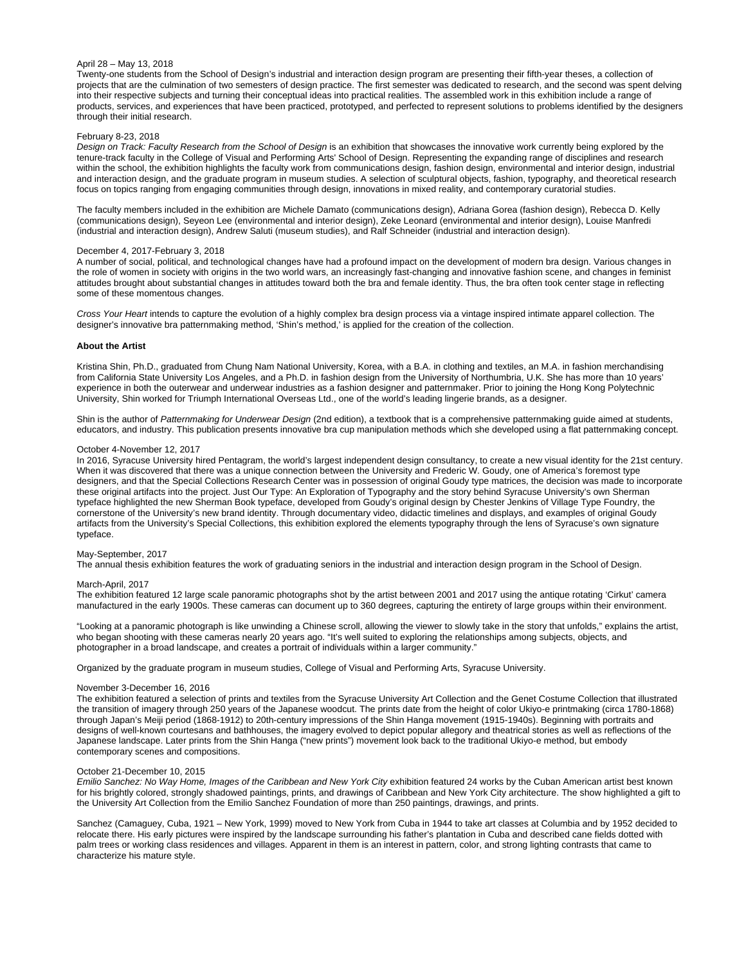## April 28 – May 13, 2018

Twenty-one students from the School of Design's industrial and interaction design program are presenting their fifth-year theses, a collection of projects that are the culmination of two semesters of design practice. The first semester was dedicated to research, and the second was spent delving into their respective subjects and turning their conceptual ideas into practical realities. The assembled work in this exhibition include a range of products, services, and experiences that have been practiced, prototyped, and perfected to represent solutions to problems identified by the designers through their initial research.

#### February 8-23, 2018

Design on Track: Faculty Research from the School of Design is an exhibition that showcases the innovative work currently being explored by the tenure-track faculty in the College of Visual and Performing Arts' School of Design. Representing the expanding range of disciplines and research within the school, the exhibition highlights the faculty work from communications design, fashion design, environmental and interior design, industrial and interaction design, and the graduate program in museum studies. A selection of sculptural objects, fashion, typography, and theoretical research focus on topics ranging from engaging communities through design, innovations in mixed reality, and contemporary curatorial studies.

The faculty members included in the exhibition are Michele Damato (communications design), Adriana Gorea (fashion design), Rebecca D. Kelly (communications design), Seyeon Lee (environmental and interior design), Zeke Leonard (environmental and interior design), Louise Manfredi (industrial and interaction design), Andrew Saluti (museum studies), and Ralf Schneider (industrial and interaction design).

#### December 4, 2017-February 3, 2018

A number of social, political, and technological changes have had a profound impact on the development of modern bra design. Various changes in the role of women in society with origins in the two world wars, an increasingly fast-changing and innovative fashion scene, and changes in feminist attitudes brought about substantial changes in attitudes toward both the bra and female identity. Thus, the bra often took center stage in reflecting some of these momentous changes.

Cross Your Heart intends to capture the evolution of a highly complex bra design process via a vintage inspired intimate apparel collection. The designer's innovative bra patternmaking method, 'Shin's method,' is applied for the creation of the collection.

#### **About the Artist**

Kristina Shin, Ph.D., graduated from Chung Nam National University, Korea, with a B.A. in clothing and textiles, an M.A. in fashion merchandising from California State University Los Angeles, and a Ph.D. in fashion design from the University of Northumbria, U.K. She has more than 10 years' experience in both the outerwear and underwear industries as a fashion designer and patternmaker. Prior to joining the Hong Kong Polytechnic University, Shin worked for Triumph International Overseas Ltd., one of the world's leading lingerie brands, as a designer.

Shin is the author of Patternmaking for Underwear Design (2nd edition), a textbook that is a comprehensive patternmaking guide aimed at students, educators, and industry. This publication presents innovative bra cup manipulation methods which she developed using a flat patternmaking concept.

#### October 4-November 12, 2017

In 2016, Syracuse University hired Pentagram, the world's largest independent design consultancy, to create a new visual identity for the 21st century. When it was discovered that there was a unique connection between the University and Frederic W. Goudy, one of America's foremost type designers, and that the Special Collections Research Center was in possession of original Goudy type matrices, the decision was made to incorporate these original artifacts into the project. Just Our Type: An Exploration of Typography and the story behind Syracuse University's own Sherman typeface highlighted the new Sherman Book typeface, developed from Goudy's original design by Chester Jenkins of Village Type Foundry, the cornerstone of the University's new brand identity. Through documentary video, didactic timelines and displays, and examples of original Goudy artifacts from the University's Special Collections, this exhibition explored the elements typography through the lens of Syracuse's own signature typeface.

#### May-September, 2017

The annual thesis exhibition features the work of graduating seniors in the industrial and interaction design program in the School of Design.

#### March-April, 2017

The exhibition featured 12 large scale panoramic photographs shot by the artist between 2001 and 2017 using the antique rotating 'Cirkut' camera manufactured in the early 1900s. These cameras can document up to 360 degrees, capturing the entirety of large groups within their environment.

"Looking at a panoramic photograph is like unwinding a Chinese scroll, allowing the viewer to slowly take in the story that unfolds," explains the artist, who began shooting with these cameras nearly 20 years ago. "It's well suited to exploring the relationships among subjects, objects, and photographer in a broad landscape, and creates a portrait of individuals within a larger community."

Organized by the graduate program in museum studies, College of Visual and Performing Arts, Syracuse University.

# November 3-December 16, 2016

The exhibition featured a selection of prints and textiles from the Syracuse University Art Collection and the Genet Costume Collection that illustrated the transition of imagery through 250 years of the Japanese woodcut. The prints date from the height of color Ukiyo-e printmaking (circa 1780-1868) through Japan's Meiji period (1868-1912) to 20th-century impressions of the Shin Hanga movement (1915-1940s). Beginning with portraits and designs of well-known courtesans and bathhouses, the imagery evolved to depict popular allegory and theatrical stories as well as reflections of the Japanese landscape. Later prints from the Shin Hanga ("new prints") movement look back to the traditional Ukiyo-e method, but embody contemporary scenes and compositions.

#### October 21-December 10, 2015

Emilio Sanchez: No Way Home, Images of the Caribbean and New York City exhibition featured 24 works by the Cuban American artist best known for his brightly colored, strongly shadowed paintings, prints, and drawings of Caribbean and New York City architecture. The show highlighted a gift to the University Art Collection from the Emilio Sanchez Foundation of more than 250 paintings, drawings, and prints.

Sanchez (Camaguey, Cuba, 1921 – New York, 1999) moved to New York from Cuba in 1944 to take art classes at Columbia and by 1952 decided to relocate there. His early pictures were inspired by the landscape surrounding his father's plantation in Cuba and described cane fields dotted with palm trees or working class residences and villages. Apparent in them is an interest in pattern, color, and strong lighting contrasts that came to characterize his mature style.